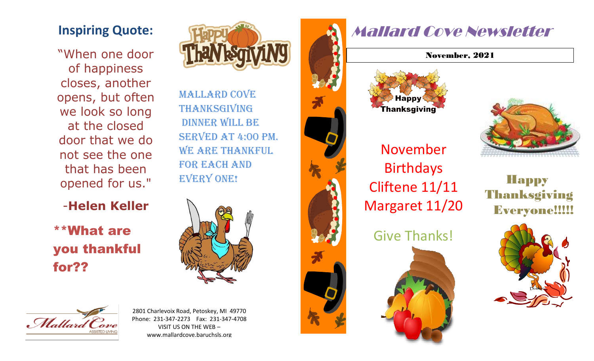## **Inspiring Quote:**

"When one door of happiness closes, another opens, but often we look so long at the closed door that we do not see the one that has been opened for us."

-**Helen Keller**

\*\*What are you thankful for??



Mallard Cove **THANKSGIVING** dinner will be served at 4:00 PM. WE ARE THANKFUL FOR EACH AND **EVERY ONE!** 





2801 Charlevoix Road, Petoskey, MI 49770 Phone: 231-347-2273 Fax: 231-347-4708 VISIT US ON THE WEB – www.mallardcove.baruchsls.org



## Mallard Cove Newsletter

November, 2021



**Happy** Thanksgiving Everyone!!!!!



Birthdays Cliftene 11/11 Margaret 11/20

Give Thanks!